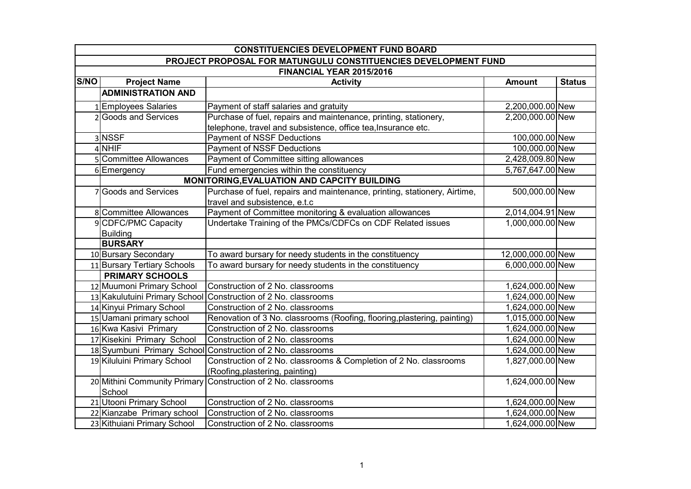|             | <b>CONSTITUENCIES DEVELOPMENT FUND BOARD</b> |                                                                           |                   |               |  |
|-------------|----------------------------------------------|---------------------------------------------------------------------------|-------------------|---------------|--|
|             |                                              | PROJECT PROPOSAL FOR MATUNGULU CONSTITUENCIES DEVELOPMENT FUND            |                   |               |  |
|             | FINANCIAL YEAR 2015/2016                     |                                                                           |                   |               |  |
| <b>S/NO</b> | <b>Project Name</b>                          | <b>Activity</b>                                                           | <b>Amount</b>     | <b>Status</b> |  |
|             | <b>ADMINISTRATION AND</b>                    |                                                                           |                   |               |  |
|             | <b>Employees Salaries</b>                    | Payment of staff salaries and gratuity                                    | 2,200,000.00 New  |               |  |
|             | <b>Goods and Services</b>                    | Purchase of fuel, repairs and maintenance, printing, stationery,          | 2,200,000.00 New  |               |  |
|             |                                              | telephone, travel and subsistence, office tea, Insurance etc.             |                   |               |  |
|             | 3 NSSF                                       | Payment of NSSF Deductions                                                | 100,000.00 New    |               |  |
|             | 4 NHIF                                       | Payment of NSSF Deductions                                                | 100,000.00 New    |               |  |
|             | 5 Committee Allowances                       | Payment of Committee sitting allowances                                   | 2,428,009.80 New  |               |  |
|             | 6 Emergency                                  | Fund emergencies within the constituency                                  | 5,767,647.00 New  |               |  |
|             |                                              | MONITORING, EVALUATION AND CAPCITY BUILDING                               |                   |               |  |
|             | 7 Goods and Services                         | Purchase of fuel, repairs and maintenance, printing, stationery, Airtime, | 500,000.00 New    |               |  |
|             |                                              | travel and subsistence, e.t.c                                             |                   |               |  |
|             | 8 Committee Allowances                       | Payment of Committee monitoring & evaluation allowances                   | 2,014,004.91 New  |               |  |
|             | 9 CDFC/PMC Capacity                          | Undertake Training of the PMCs/CDFCs on CDF Related issues                | 1,000,000.00 New  |               |  |
|             | <b>Building</b>                              |                                                                           |                   |               |  |
|             | <b>BURSARY</b>                               |                                                                           |                   |               |  |
|             | 10 Bursary Secondary                         | To award bursary for needy students in the constituency                   | 12,000,000.00 New |               |  |
|             | 11 Bursary Tertiary Schools                  | To award bursary for needy students in the constituency                   | 6,000,000.00 New  |               |  |
|             | <b>PRIMARY SCHOOLS</b>                       |                                                                           |                   |               |  |
|             | 12 Muumoni Primary School                    | Construction of 2 No. classrooms                                          | 1,624,000.00 New  |               |  |
|             |                                              | 13 Kakulutuini Primary School Construction of 2 No. classrooms            | 1,624,000.00 New  |               |  |
|             | 14 Kinyui Primary School                     | Construction of 2 No. classrooms                                          | 1,624,000.00 New  |               |  |
|             | 15 Uamani primary school                     | Renovation of 3 No. classrooms (Roofing, flooring, plastering, painting)  | 1,015,000.00 New  |               |  |
|             | 16 Kwa Kasivi Primary                        | Construction of 2 No. classrooms                                          | 1,624,000.00 New  |               |  |
|             | 17 Kisekini Primary School                   | Construction of 2 No. classrooms                                          | 1,624,000.00 New  |               |  |
|             |                                              | 18 Syumbuni Primary School Construction of 2 No. classrooms               | 1,624,000.00 New  |               |  |
|             | 19 Kiluluini Primary School                  | Construction of 2 No. classrooms & Completion of 2 No. classrooms         | 1,827,000.00 New  |               |  |
|             |                                              | (Roofing, plastering, painting)                                           |                   |               |  |
|             |                                              | 20 Mithini Community Primary Construction of 2 No. classrooms             | 1,624,000.00 New  |               |  |
|             | School                                       |                                                                           |                   |               |  |
|             | 21 Utooni Primary School                     | Construction of 2 No. classrooms                                          | 1,624,000.00 New  |               |  |
|             | 22 Kianzabe Primary school                   | Construction of 2 No. classrooms                                          | 1,624,000.00 New  |               |  |
|             | 23 Kithuiani Primary School                  | Construction of 2 No. classrooms                                          | 1,624,000.00 New  |               |  |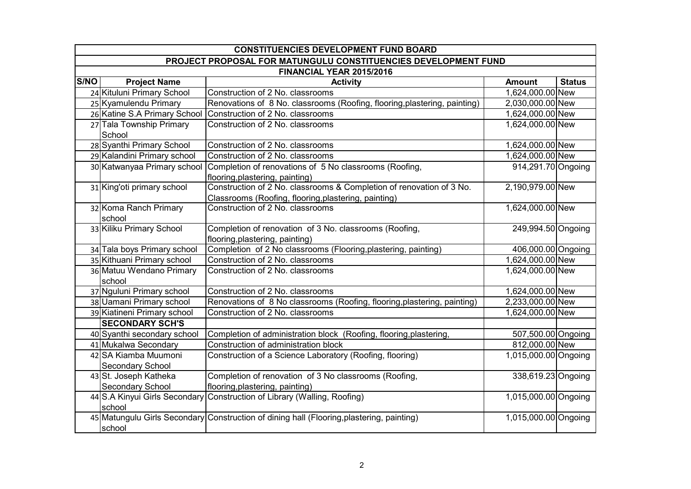|                                                                | <b>CONSTITUENCIES DEVELOPMENT FUND BOARD</b> |                                                                                           |                      |               |  |
|----------------------------------------------------------------|----------------------------------------------|-------------------------------------------------------------------------------------------|----------------------|---------------|--|
| PROJECT PROPOSAL FOR MATUNGULU CONSTITUENCIES DEVELOPMENT FUND |                                              |                                                                                           |                      |               |  |
| FINANCIAL YEAR 2015/2016                                       |                                              |                                                                                           |                      |               |  |
| <b>S/NO</b>                                                    | <b>Project Name</b>                          | <b>Activity</b>                                                                           | <b>Amount</b>        | <b>Status</b> |  |
|                                                                | 24 Kituluni Primary School                   | Construction of 2 No. classrooms                                                          | 1,624,000.00 New     |               |  |
|                                                                | 25 Kyamulendu Primary                        | Renovations of 8 No. classrooms (Roofing, flooring, plastering, painting)                 | 2,030,000.00 New     |               |  |
|                                                                | 26 Katine S.A Primary School                 | Construction of 2 No. classrooms                                                          | 1,624,000.00 New     |               |  |
|                                                                | 27 Tala Township Primary                     | Construction of 2 No. classrooms                                                          | 1,624,000.00 New     |               |  |
|                                                                | School                                       |                                                                                           |                      |               |  |
|                                                                | 28 Syanthi Primary School                    | Construction of 2 No. classrooms                                                          | 1,624,000.00 New     |               |  |
|                                                                | 29 Kalandini Primary school                  | Construction of 2 No. classrooms                                                          | 1,624,000.00 New     |               |  |
|                                                                | 30 Katwanyaa Primary school                  | Completion of renovations of 5 No classrooms (Roofing,<br>flooring, plastering, painting) | 914,291.70 Ongoing   |               |  |
|                                                                | 31 King'oti primary school                   | Construction of 2 No. classrooms & Completion of renovation of 3 No.                      | 2,190,979.00 New     |               |  |
|                                                                |                                              | Classrooms (Roofing, flooring, plastering, painting)                                      |                      |               |  |
|                                                                | 32 Koma Ranch Primary                        | Construction of 2 No. classrooms                                                          | 1,624,000.00 New     |               |  |
|                                                                | school                                       |                                                                                           |                      |               |  |
|                                                                | 33 Kiliku Primary School                     | Completion of renovation of 3 No. classrooms (Roofing,                                    | 249,994.50 Ongoing   |               |  |
|                                                                |                                              | flooring, plastering, painting)                                                           |                      |               |  |
|                                                                | 34 Tala boys Primary school                  | Completion of 2 No classrooms (Flooring, plastering, painting)                            | 406,000.00 Ongoing   |               |  |
|                                                                | 35 Kithuani Primary school                   | Construction of 2 No. classrooms                                                          | 1,624,000.00 New     |               |  |
|                                                                | 36 Matuu Wendano Primary<br>school           | Construction of 2 No. classrooms                                                          | 1,624,000.00 New     |               |  |
|                                                                | 37 Nguluni Primary school                    | Construction of 2 No. classrooms                                                          | 1,624,000.00 New     |               |  |
|                                                                | 38 Uamani Primary school                     | Renovations of 8 No classrooms (Roofing, flooring, plastering, painting)                  | 2,233,000.00 New     |               |  |
|                                                                | 39 Kiatineni Primary school                  | Construction of 2 No. classrooms                                                          | 1,624,000.00 New     |               |  |
|                                                                | <b>SECONDARY SCH'S</b>                       |                                                                                           |                      |               |  |
|                                                                | 40 Syanthi secondary school                  | Completion of administration block (Roofing, flooring, plastering,                        | 507,500.00 Ongoing   |               |  |
|                                                                | 41 Mukalwa Secondary                         | Construction of administration block                                                      | 812,000.00 New       |               |  |
|                                                                | 42 SA Kiamba Muumoni                         | Construction of a Science Laboratory (Roofing, flooring)                                  | 1,015,000.00 Ongoing |               |  |
|                                                                | Secondary School                             |                                                                                           |                      |               |  |
|                                                                | 43 St. Joseph Katheka                        | Completion of renovation of 3 No classrooms (Roofing,                                     | 338,619.23 Ongoing   |               |  |
|                                                                | Secondary School                             | flooring, plastering, painting)                                                           |                      |               |  |
|                                                                |                                              | 44 S.A Kinyui Girls Secondary Construction of Library (Walling, Roofing)                  | 1,015,000.00 Ongoing |               |  |
|                                                                | school                                       |                                                                                           |                      |               |  |
|                                                                |                                              | 45 Matungulu Girls Secondary Construction of dining hall (Flooring, plastering, painting) | 1,015,000.00 Ongoing |               |  |
|                                                                | school                                       |                                                                                           |                      |               |  |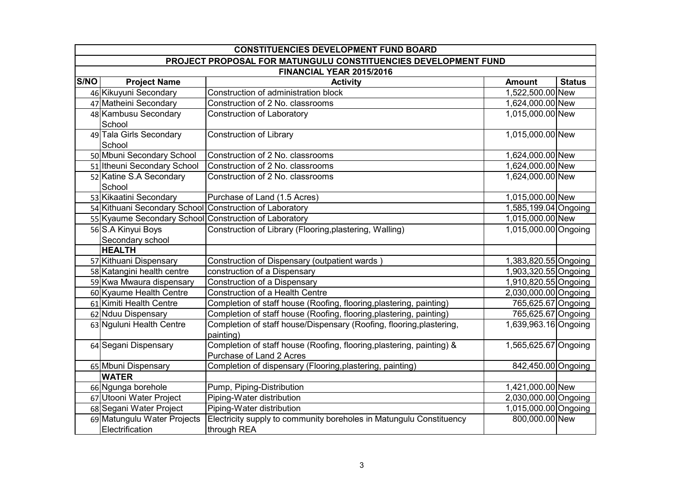|      | <b>CONSTITUENCIES DEVELOPMENT FUND BOARD</b>                   |                                                                                   |                      |               |  |
|------|----------------------------------------------------------------|-----------------------------------------------------------------------------------|----------------------|---------------|--|
|      | PROJECT PROPOSAL FOR MATUNGULU CONSTITUENCIES DEVELOPMENT FUND |                                                                                   |                      |               |  |
|      |                                                                | FINANCIAL YEAR 2015/2016                                                          |                      |               |  |
| S/NO | <b>Project Name</b>                                            | <b>Activity</b>                                                                   | <b>Amount</b>        | <b>Status</b> |  |
|      | 46 Kikuyuni Secondary                                          | Construction of administration block                                              | 1,522,500.00 New     |               |  |
|      | 47 Matheini Secondary                                          | Construction of 2 No. classrooms                                                  | 1,624,000.00 New     |               |  |
|      | 48 Kambusu Secondary                                           | <b>Construction of Laboratory</b>                                                 | 1,015,000.00 New     |               |  |
|      | School                                                         |                                                                                   |                      |               |  |
|      | 49 Tala Girls Secondary                                        | <b>Construction of Library</b>                                                    | 1,015,000.00 New     |               |  |
|      | School                                                         |                                                                                   |                      |               |  |
|      | 50 Mbuni Secondary School                                      | Construction of 2 No. classrooms                                                  | 1,624,000.00 New     |               |  |
|      | 51 Itheuni Secondary School                                    | Construction of 2 No. classrooms                                                  | 1,624,000.00 New     |               |  |
|      | 52 Katine S.A Secondary                                        | Construction of 2 No. classrooms                                                  | 1,624,000.00 New     |               |  |
|      | School                                                         |                                                                                   |                      |               |  |
|      | 53 Kikaatini Secondary                                         | Purchase of Land (1.5 Acres)                                                      | 1,015,000.00 New     |               |  |
|      | 54 Kithuani Secondary School Construction of Laboratory        |                                                                                   | 1,585,199.04 Ongoing |               |  |
|      | 55 Kyaume Secondary School Construction of Laboratory          |                                                                                   | 1,015,000.00 New     |               |  |
|      | 56 S.A Kinyui Boys                                             | Construction of Library (Flooring, plastering, Walling)                           | 1,015,000.00 Ongoing |               |  |
|      | Secondary school                                               |                                                                                   |                      |               |  |
|      | <b>HEALTH</b>                                                  |                                                                                   |                      |               |  |
|      | 57 Kithuani Dispensary                                         | Construction of Dispensary (outpatient wards                                      | 1,383,820.55 Ongoing |               |  |
|      | 58 Katangini health centre                                     | construction of a Dispensary                                                      | 1,903,320.55 Ongoing |               |  |
|      | 59 Kwa Mwaura dispensary                                       | <b>Construction of a Dispensary</b>                                               | 1,910,820.55 Ongoing |               |  |
|      | 60 Kyaume Health Centre                                        | Construction of a Health Centre                                                   | 2,030,000.00 Ongoing |               |  |
|      | 61 Kimiti Health Centre                                        | Completion of staff house (Roofing, flooring, plastering, painting)               | 765,625.67 Ongoing   |               |  |
|      | 62 Nduu Dispensary                                             | Completion of staff house (Roofing, flooring, plastering, painting)               | 765,625.67 Ongoing   |               |  |
|      | 63 Nguluni Health Centre                                       | Completion of staff house/Dispensary (Roofing, flooring, plastering,<br>painting) | 1,639,963.16 Ongoing |               |  |
|      | 64 Segani Dispensary                                           | Completion of staff house (Roofing, flooring, plastering, painting) &             | 1,565,625.67 Ongoing |               |  |
|      |                                                                | Purchase of Land 2 Acres                                                          |                      |               |  |
|      | 65 Mbuni Dispensary                                            | Completion of dispensary (Flooring, plastering, painting)                         | 842,450.00 Ongoing   |               |  |
|      | <b>WATER</b>                                                   |                                                                                   |                      |               |  |
|      | 66 Ngunga borehole                                             | Pump, Piping-Distribution                                                         | 1,421,000.00 New     |               |  |
|      | 67 Utooni Water Project                                        | Piping-Water distribution                                                         | 2,030,000.00 Ongoing |               |  |
|      | 68 Segani Water Project                                        | Piping-Water distribution                                                         | 1,015,000.00 Ongoing |               |  |
|      | 69 Matungulu Water Projects                                    | Electricity supply to community boreholes in Matungulu Constituency               | 800,000.00 New       |               |  |
|      | Electrification                                                | through REA                                                                       |                      |               |  |